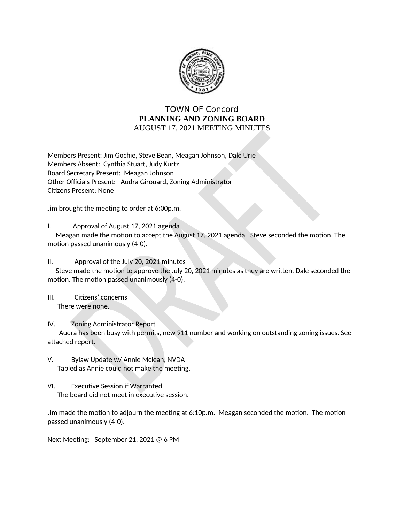

## **TOWN OF Concord** PLANNING AND ZONING BOARD AUGUST 17, 2021 MEETING MINUTES

Members Present: Jim Gochie, Steve Bean, Meagan Johnson, Dale Urie Members Absent: Cynthia Stuart, Judy Kurtz Board Secretary Present: Meagan Johnson Other Officials Present: Audra Girouard, Zoning Administrator **Citizens Present: None** 

Jim brought the meeting to order at 6:00p.m.

I. Approval of August 17, 2021 agenda

Meagan made the motion to accept the August 17, 2021 agenda. Steve seconded the motion. The motion passed unanimously (4-0).

 $II.$ Approval of the July 20, 2021 minutes

Steve made the motion to approve the July 20, 2021 minutes as they are written. Dale seconded the motion. The motion passed unanimously (4-0).

 $III.$ Citizens' concerns There were none.

IV. **Zoning Administrator Report** 

Audra has been busy with permits, new 911 number and working on outstanding zoning issues. See attached report.

- V. Bylaw Update w/ Annie Mclean, NVDA Tabled as Annie could not make the meeting.
- VI. **Executive Session if Warranted** The board did not meet in executive session.

Jim made the motion to adjourn the meeting at 6:10p.m. Meagan seconded the motion. The motion passed unanimously (4-0).

Next Meeting: September 21, 2021 @ 6 PM